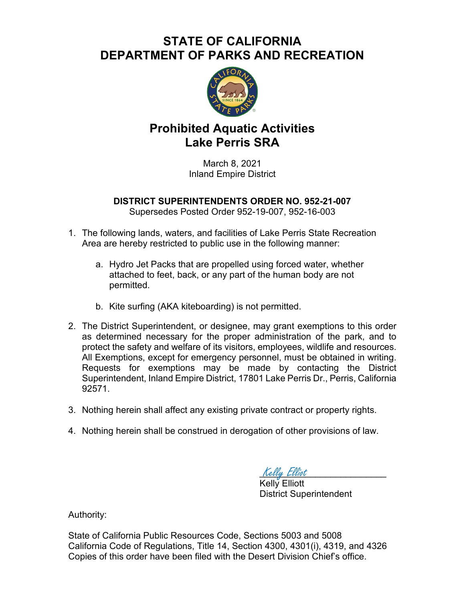## **STATE OF CALIFORNIA DEPARTMENT OF PARKS AND RECREATION**



## **Prohibited Aquatic Activities Lake Perris SRA**

March 8, 2021 Inland Empire District

**DISTRICT SUPERINTENDENTS ORDER NO. 952-21-007** Supersedes Posted Order 952-19-007, 952-16-003

- 1. The following lands, waters, and facilities of Lake Perris State Recreation Area are hereby restricted to public use in the following manner:
	- a. Hydro Jet Packs that are propelled using forced water, whether attached to feet, back, or any part of the human body are not permitted.
	- b. Kite surfing (AKA kiteboarding) is not permitted.
- 2. The District Superintendent, or designee, may grant exemptions to this order as determined necessary for the proper administration of the park, and to protect the safety and welfare of its visitors, employees, wildlife and resources. All Exemptions, except for emergency personnel, must be obtained in writing. Requests for exemptions may be made by contacting the District Superintendent, Inland Empire District, 17801 Lake Perris Dr., Perris, California 92571.
- 3. Nothing herein shall affect any existing private contract or property rights.
- 4. Nothing herein shall be construed in derogation of other provisions of law.

Kelly Elliot Kelly Elliott

District Superintendent

Authority:

State of California Public Resources Code, Sections 5003 and 5008 California Code of Regulations, Title 14, Section 4300, 4301(i), 4319, and 4326 Copies of this order have been filed with the Desert Division Chief's office.